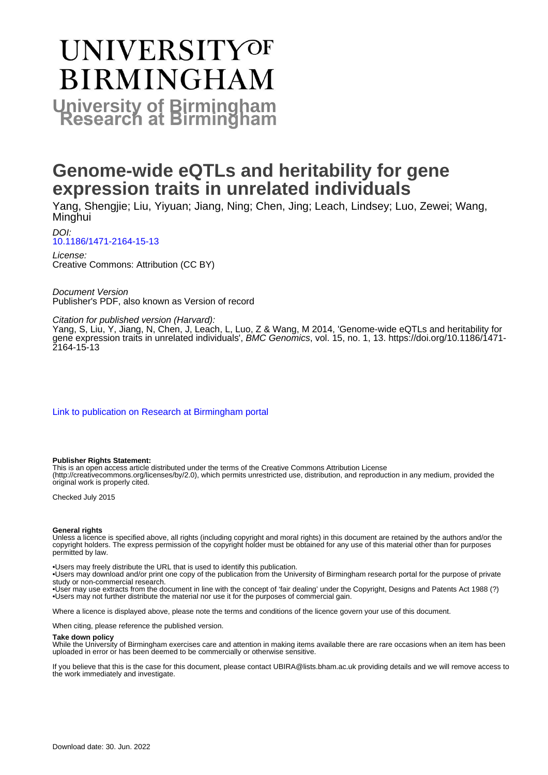# UNIVERSITYOF **BIRMINGHAM University of Birmingham**

## **Genome-wide eQTLs and heritability for gene expression traits in unrelated individuals**

Yang, Shengjie; Liu, Yiyuan; Jiang, Ning; Chen, Jing; Leach, Lindsey; Luo, Zewei; Wang, Minghui

DOI:

#### [10.1186/1471-2164-15-13](https://doi.org/10.1186/1471-2164-15-13)

License: Creative Commons: Attribution (CC BY)

Document Version Publisher's PDF, also known as Version of record

Citation for published version (Harvard):

Yang, S, Liu, Y, Jiang, N, Chen, J, Leach, L, Luo, Z & Wang, M 2014, 'Genome-wide eQTLs and heritability for gene expression traits in unrelated individuals', BMC Genomics, vol. 15, no. 1, 13. [https://doi.org/10.1186/1471-](https://doi.org/10.1186/1471-2164-15-13) [2164-15-13](https://doi.org/10.1186/1471-2164-15-13)

[Link to publication on Research at Birmingham portal](https://birmingham.elsevierpure.com/en/publications/c7b8a0c8-6e38-455c-8fe7-e140d981a5a2)

#### **Publisher Rights Statement:**

This is an open access article distributed under the terms of the Creative Commons Attribution License

(http://creativecommons.org/licenses/by/2.0), which permits unrestricted use, distribution, and reproduction in any medium, provided the original work is properly cited.

Checked July 2015

#### **General rights**

Unless a licence is specified above, all rights (including copyright and moral rights) in this document are retained by the authors and/or the copyright holders. The express permission of the copyright holder must be obtained for any use of this material other than for purposes permitted by law.

• Users may freely distribute the URL that is used to identify this publication.

• Users may download and/or print one copy of the publication from the University of Birmingham research portal for the purpose of private study or non-commercial research.

• User may use extracts from the document in line with the concept of 'fair dealing' under the Copyright, Designs and Patents Act 1988 (?) • Users may not further distribute the material nor use it for the purposes of commercial gain.

Where a licence is displayed above, please note the terms and conditions of the licence govern your use of this document.

When citing, please reference the published version.

#### **Take down policy**

While the University of Birmingham exercises care and attention in making items available there are rare occasions when an item has been uploaded in error or has been deemed to be commercially or otherwise sensitive.

If you believe that this is the case for this document, please contact UBIRA@lists.bham.ac.uk providing details and we will remove access to the work immediately and investigate.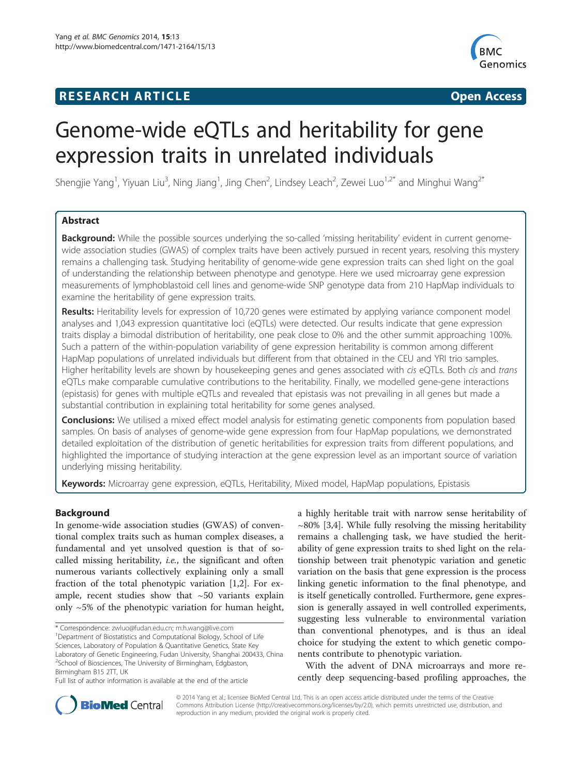### **RESEARCH ARTICLE Example 2014 The SEAR CH ACCESS**



## Genome-wide eQTLs and heritability for gene expression traits in unrelated individuals

Shengjie Yang<sup>1</sup>, Yiyuan Liu<sup>3</sup>, Ning Jiang<sup>1</sup>, Jing Chen<sup>2</sup>, Lindsey Leach<sup>2</sup>, Zewei Luo<sup>1,2\*</sup> and Minghui Wang<sup>2\*</sup>

#### Abstract

Background: While the possible sources underlying the so-called 'missing heritability' evident in current genomewide association studies (GWAS) of complex traits have been actively pursued in recent years, resolving this mystery remains a challenging task. Studying heritability of genome-wide gene expression traits can shed light on the goal of understanding the relationship between phenotype and genotype. Here we used microarray gene expression measurements of lymphoblastoid cell lines and genome-wide SNP genotype data from 210 HapMap individuals to examine the heritability of gene expression traits.

Results: Heritability levels for expression of 10,720 genes were estimated by applying variance component model analyses and 1,043 expression quantitative loci (eQTLs) were detected. Our results indicate that gene expression traits display a bimodal distribution of heritability, one peak close to 0% and the other summit approaching 100%. Such a pattern of the within-population variability of gene expression heritability is common among different HapMap populations of unrelated individuals but different from that obtained in the CEU and YRI trio samples. Higher heritability levels are shown by housekeeping genes and genes associated with cis eQTLs. Both cis and trans eQTLs make comparable cumulative contributions to the heritability. Finally, we modelled gene-gene interactions (epistasis) for genes with multiple eQTLs and revealed that epistasis was not prevailing in all genes but made a substantial contribution in explaining total heritability for some genes analysed.

**Conclusions:** We utilised a mixed effect model analysis for estimating genetic components from population based samples. On basis of analyses of genome-wide gene expression from four HapMap populations, we demonstrated detailed exploitation of the distribution of genetic heritabilities for expression traits from different populations, and highlighted the importance of studying interaction at the gene expression level as an important source of variation underlying missing heritability.

Keywords: Microarray gene expression, eQTLs, Heritability, Mixed model, HapMap populations, Epistasis

#### Background

In genome-wide association studies (GWAS) of conventional complex traits such as human complex diseases, a fundamental and yet unsolved question is that of socalled missing heritability, i.e., the significant and often numerous variants collectively explaining only a small fraction of the total phenotypic variation [[1,2\]](#page-11-0). For example, recent studies show that  $\sim$  50 variants explain only  $~5\%$  of the phenotypic variation for human height,

\* Correspondence: [zwluo@fudan.edu.cn](mailto:zwluo@fudan.edu.cn); [m.h.wang@live.com](mailto:m.h.wang@live.com) <sup>1</sup>

<sup>1</sup>Department of Biostatistics and Computational Biology, School of Life

Sciences, Laboratory of Population & Quantitative Genetics, State Key Laboratory of Genetic Engineering, Fudan University, Shanghai 200433, China <sup>2</sup>School of Biosciences, The University of Birmingham, Edgbaston, Birmingham B15 2TT, UK

a highly heritable trait with narrow sense heritability of  $\sim$ 80% [\[3,4](#page-11-0)]. While fully resolving the missing heritability remains a challenging task, we have studied the heritability of gene expression traits to shed light on the relationship between trait phenotypic variation and genetic variation on the basis that gene expression is the process linking genetic information to the final phenotype, and is itself genetically controlled. Furthermore, gene expression is generally assayed in well controlled experiments, suggesting less vulnerable to environmental variation than conventional phenotypes, and is thus an ideal choice for studying the extent to which genetic components contribute to phenotypic variation.

With the advent of DNA microarrays and more recently deep sequencing-based profiling approaches, the



© 2014 Yang et al.; licensee BioMed Central Ltd. This is an open access article distributed under the terms of the Creative Commons Attribution License [\(http://creativecommons.org/licenses/by/2.0\)](http://creativecommons.org/licenses/by/2.0), which permits unrestricted use, distribution, and reproduction in any medium, provided the original work is properly cited.

Full list of author information is available at the end of the article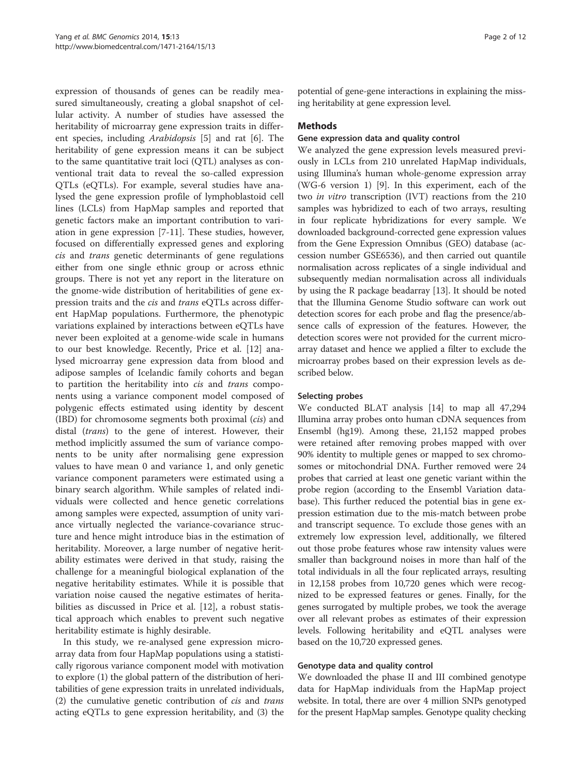expression of thousands of genes can be readily measured simultaneously, creating a global snapshot of cellular activity. A number of studies have assessed the heritability of microarray gene expression traits in different species, including Arabidopsis [\[5](#page-11-0)] and rat [[6](#page-11-0)]. The heritability of gene expression means it can be subject to the same quantitative trait loci (QTL) analyses as conventional trait data to reveal the so-called expression QTLs (eQTLs). For example, several studies have analysed the gene expression profile of lymphoblastoid cell lines (LCLs) from HapMap samples and reported that genetic factors make an important contribution to variation in gene expression [\[7](#page-11-0)-[11\]](#page-11-0). These studies, however, focused on differentially expressed genes and exploring cis and trans genetic determinants of gene regulations either from one single ethnic group or across ethnic groups. There is not yet any report in the literature on the gnome-wide distribution of heritabilities of gene expression traits and the cis and trans eQTLs across different HapMap populations. Furthermore, the phenotypic variations explained by interactions between eQTLs have never been exploited at a genome-wide scale in humans to our best knowledge. Recently, Price et al. [\[12](#page-11-0)] analysed microarray gene expression data from blood and adipose samples of Icelandic family cohorts and began to partition the heritability into *cis* and *trans* components using a variance component model composed of polygenic effects estimated using identity by descent (IBD) for chromosome segments both proximal (cis) and distal (trans) to the gene of interest. However, their method implicitly assumed the sum of variance components to be unity after normalising gene expression values to have mean 0 and variance 1, and only genetic variance component parameters were estimated using a binary search algorithm. While samples of related individuals were collected and hence genetic correlations among samples were expected, assumption of unity variance virtually neglected the variance-covariance structure and hence might introduce bias in the estimation of heritability. Moreover, a large number of negative heritability estimates were derived in that study, raising the challenge for a meaningful biological explanation of the negative heritability estimates. While it is possible that variation noise caused the negative estimates of heritabilities as discussed in Price et al. [[12](#page-11-0)], a robust statistical approach which enables to prevent such negative heritability estimate is highly desirable.

In this study, we re-analysed gene expression microarray data from four HapMap populations using a statistically rigorous variance component model with motivation to explore (1) the global pattern of the distribution of heritabilities of gene expression traits in unrelated individuals, (2) the cumulative genetic contribution of cis and trans acting eQTLs to gene expression heritability, and (3) the potential of gene-gene interactions in explaining the missing heritability at gene expression level.

#### Methods

#### Gene expression data and quality control

We analyzed the gene expression levels measured previously in LCLs from 210 unrelated HapMap individuals, using Illumina's human whole-genome expression array (WG-6 version 1) [[9](#page-11-0)]. In this experiment, each of the two in vitro transcription (IVT) reactions from the 210 samples was hybridized to each of two arrays, resulting in four replicate hybridizations for every sample. We downloaded background-corrected gene expression values from the Gene Expression Omnibus (GEO) database (accession number GSE6536), and then carried out quantile normalisation across replicates of a single individual and subsequently median normalisation across all individuals by using the R package beadarray [\[13\]](#page-11-0). It should be noted that the Illumina Genome Studio software can work out detection scores for each probe and flag the presence/absence calls of expression of the features. However, the detection scores were not provided for the current microarray dataset and hence we applied a filter to exclude the microarray probes based on their expression levels as described below.

#### Selecting probes

We conducted BLAT analysis [[14](#page-11-0)] to map all 47,294 Illumina array probes onto human cDNA sequences from Ensembl (hg19). Among these, 21,152 mapped probes were retained after removing probes mapped with over 90% identity to multiple genes or mapped to sex chromosomes or mitochondrial DNA. Further removed were 24 probes that carried at least one genetic variant within the probe region (according to the Ensembl Variation database). This further reduced the potential bias in gene expression estimation due to the mis-match between probe and transcript sequence. To exclude those genes with an extremely low expression level, additionally, we filtered out those probe features whose raw intensity values were smaller than background noises in more than half of the total individuals in all the four replicated arrays, resulting in 12,158 probes from 10,720 genes which were recognized to be expressed features or genes. Finally, for the genes surrogated by multiple probes, we took the average over all relevant probes as estimates of their expression levels. Following heritability and eQTL analyses were based on the 10,720 expressed genes.

#### Genotype data and quality control

We downloaded the phase II and III combined genotype data for HapMap individuals from the HapMap project website. In total, there are over 4 million SNPs genotyped for the present HapMap samples. Genotype quality checking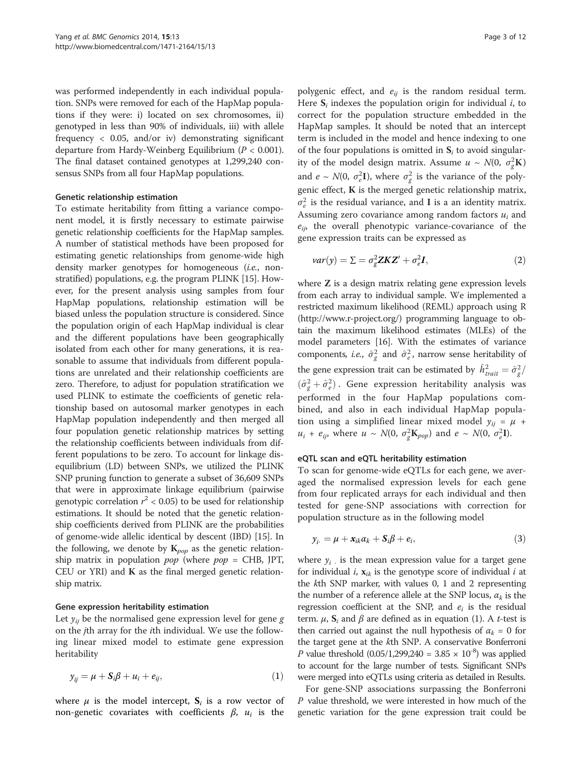<span id="page-3-0"></span>was performed independently in each individual population. SNPs were removed for each of the HapMap populations if they were: i) located on sex chromosomes, ii) genotyped in less than 90% of individuals, iii) with allele frequency < 0.05, and/or iv) demonstrating significant departure from Hardy-Weinberg Equilibrium ( $P < 0.001$ ). The final dataset contained genotypes at 1,299,240 consensus SNPs from all four HapMap populations.

#### Genetic relationship estimation

To estimate heritability from fitting a variance component model, it is firstly necessary to estimate pairwise genetic relationship coefficients for the HapMap samples. A number of statistical methods have been proposed for estimating genetic relationships from genome-wide high density marker genotypes for homogeneous (i.e., nonstratified) populations, e.g. the program PLINK [\[15\]](#page-11-0). However, for the present analysis using samples from four HapMap populations, relationship estimation will be biased unless the population structure is considered. Since the population origin of each HapMap individual is clear and the different populations have been geographically isolated from each other for many generations, it is reasonable to assume that individuals from different populations are unrelated and their relationship coefficients are zero. Therefore, to adjust for population stratification we used PLINK to estimate the coefficients of genetic relationship based on autosomal marker genotypes in each HapMap population independently and then merged all four population genetic relationship matrices by setting the relationship coefficients between individuals from different populations to be zero. To account for linkage disequilibrium (LD) between SNPs, we utilized the PLINK SNP pruning function to generate a subset of 36,609 SNPs that were in approximate linkage equilibrium (pairwise genotypic correlation  $r^2$  < 0.05) to be used for relationship estimations. It should be noted that the genetic relationship coefficients derived from PLINK are the probabilities of genome-wide allelic identical by descent (IBD) [[15](#page-11-0)]. In the following, we denote by  $K_{pop}$  as the genetic relationship matrix in population  $pop$  (where  $pop =$  CHB, JPT, CEU or YRI) and K as the final merged genetic relationship matrix.

#### Gene expression heritability estimation

Let  $y_{ii}$  be the normalised gene expression level for gene g on the jth array for the ith individual. We use the following linear mixed model to estimate gene expression heritability

$$
y_{ij} = \mu + S_i \beta + u_i + e_{ij}, \qquad (1)
$$

where  $\mu$  is the model intercept,  $S_i$  is a row vector of non-genetic covariates with coefficients  $β$ ,  $u_i$  is the

polygenic effect, and  $e_{ij}$  is the random residual term. Here  $S_i$  indexes the population origin for individual i, to correct for the population structure embedded in the HapMap samples. It should be noted that an intercept term is included in the model and hence indexing to one of the four populations is omitted in  $S_i$  to avoid singularity of the model design matrix. Assume  $u \sim N(0, \sigma_g^2 \mathbf{K})$ and  $e \sim N(0, \sigma_e^2 I)$ , where  $\sigma_g^2$  is the variance of the polygenic effect, K is the merged genetic relationship matrix,  $\sigma_e^2$  is the residual variance, and **I** is a an identity matrix. Assuming zero covariance among random factors  $u_i$  and  $e_{ii}$ , the overall phenotypic variance-covariance of the gene expression traits can be expressed as

$$
var(y) = \Sigma = \sigma_g^2 \mathbf{Z} \mathbf{K} \mathbf{Z}' + \sigma_e^2 \mathbf{I},\tag{2}
$$

where Z is a design matrix relating gene expression levels from each array to individual sample. We implemented a restricted maximum likelihood (REML) approach using R (<http://www.r-project.org/>) programming language to obtain the maximum likelihood estimates (MLEs) of the model parameters [\[16\]](#page-11-0). With the estimates of variance components, *i.e.*,  $\hat{\sigma}_{g}^{2}$  and  $\hat{\sigma}_{e}^{2}$ , narrow sense heritability of the gene expression trait can be estimated by  $\hat{h}^2_{\text{train}} = \hat{\sigma}^2_{g}$ /  $(\hat{\sigma}_{g}^{2} + \hat{\sigma}_{e}^{2})$ . Gene expression heritability analysis was performed in the four HapMap populations combined, and also in each individual HapMap population using a simplified linear mixed model  $y_{ij} = \mu +$  $u_i + e_{ij}$ , where  $u \sim N(0, \sigma_g^2 \mathbf{K}_{pop})$  and  $e \sim N(0, \sigma_e^2 \mathbf{I}).$ 

#### eQTL scan and eQTL heritability estimation

To scan for genome-wide eQTLs for each gene, we averaged the normalised expression levels for each gene from four replicated arrays for each individual and then tested for gene-SNP associations with correction for population structure as in the following model

$$
y_{i.} = \mu + \mathbf{x}_{ik}\alpha_k + \mathbf{S}_i\beta + e_i,
$$
\n(3)

where  $y_i$  is the mean expression value for a target gene for individual *i*,  $\mathbf{x}_{ik}$  is the genotype score of individual *i* at the kth SNP marker, with values 0, 1 and 2 representing the number of a reference allele at the SNP locus,  $\alpha_k$  is the regression coefficient at the SNP, and  $e_i$  is the residual term.  $\mu$ ,  $\mathbf{S}_i$  and  $\beta$  are defined as in equation (1). A *t*-test is then carried out against the null hypothesis of  $\alpha_k = 0$  for the target gene at the kth SNP. A conservative Bonferroni *P* value threshold  $(0.05/1,299,240 = 3.85 \times 10^{-8})$  was applied to account for the large number of tests. Significant SNPs were merged into eQTLs using criteria as detailed in [Results.](#page-4-0)

For gene-SNP associations surpassing the Bonferroni P value threshold, we were interested in how much of the genetic variation for the gene expression trait could be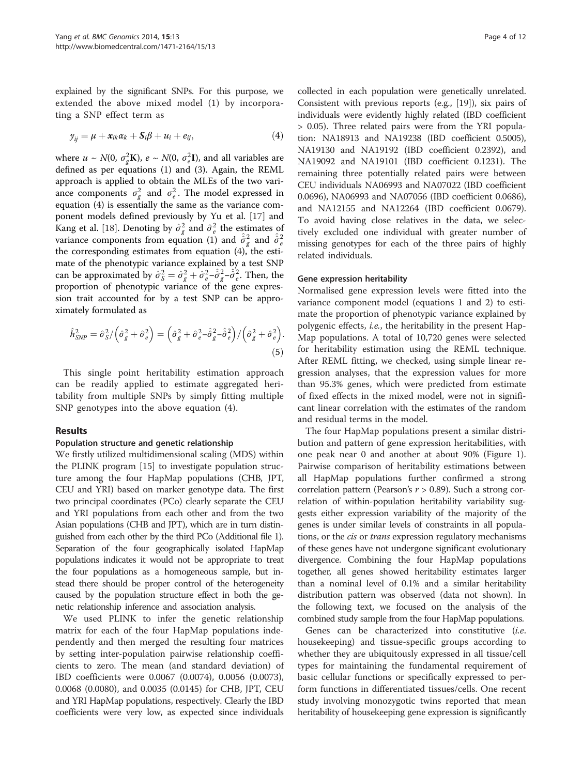<span id="page-4-0"></span>explained by the significant SNPs. For this purpose, we extended the above mixed model [\(1](#page-3-0)) by incorporating a SNP effect term as

$$
y_{ij} = \mu + x_{ik} \alpha_k + S_i \beta + u_i + e_{ij}, \qquad (4)
$$

where  $u \sim N(0, \sigma_g^2 \mathbf{K})$ ,  $e \sim N(0, \sigma_e^2 \mathbf{I})$ , and all variables are defined as per equations ([1\)](#page-3-0) and [\(3](#page-3-0)). Again, the REML approach is applied to obtain the MLEs of the two variance components  $\sigma_g^2$  and  $\sigma_e^2$ . The model expressed in equation (4) is essentially the same as the variance component models defined previously by Yu et al. [[17](#page-12-0)] and Kang et al. [\[18](#page-12-0)]. Denoting by  $\hat{\sigma}_{g}^{2}$  and  $\hat{\sigma}_{e}^{2}$  the estimates of variance components from equation ([1\)](#page-3-0) and  $\hat{\sigma}_{g}^2$  and  $\hat{\sigma}_{e}^2$ the corresponding estimates from equation (4), the estimate of the phenotypic variance explained by a test SNP can be approximated by  $\hat{\sigma}_S^2 = \hat{\sigma}_g^2 + \hat{\sigma}_e^2 - \hat{\sigma}_g^2 - \hat{\sigma}_e^2$ . Then, the proportion of phenotypic variance of the gene expression trait accounted for by a test SNP can be approximately formulated as

$$
\hat{h}_{SNP}^2 = \hat{\sigma}_S^2 / \left(\hat{\sigma}_g^2 + \hat{\sigma}_e^2\right) = \left(\hat{\sigma}_g^2 + \hat{\sigma}_e^2 - \hat{\sigma}_g^2 - \hat{\sigma}_e^2\right) / \left(\hat{\sigma}_g^2 + \hat{\sigma}_e^2\right). \tag{5}
$$

This single point heritability estimation approach can be readily applied to estimate aggregated heritability from multiple SNPs by simply fitting multiple SNP genotypes into the above equation (4).

#### Results

#### Population structure and genetic relationship

We firstly utilized multidimensional scaling (MDS) within the PLINK program [\[15\]](#page-11-0) to investigate population structure among the four HapMap populations (CHB, JPT, CEU and YRI) based on marker genotype data. The first two principal coordinates (PCo) clearly separate the CEU and YRI populations from each other and from the two Asian populations (CHB and JPT), which are in turn distinguished from each other by the third PCo (Additional file [1\)](#page-11-0). Separation of the four geographically isolated HapMap populations indicates it would not be appropriate to treat the four populations as a homogeneous sample, but instead there should be proper control of the heterogeneity caused by the population structure effect in both the genetic relationship inference and association analysis.

We used PLINK to infer the genetic relationship matrix for each of the four HapMap populations independently and then merged the resulting four matrices by setting inter-population pairwise relationship coefficients to zero. The mean (and standard deviation) of IBD coefficients were 0.0067 (0.0074), 0.0056 (0.0073), 0.0068 (0.0080), and 0.0035 (0.0145) for CHB, JPT, CEU and YRI HapMap populations, respectively. Clearly the IBD coefficients were very low, as expected since individuals

collected in each population were genetically unrelated. Consistent with previous reports (e.g., [\[19\]](#page-12-0)), six pairs of individuals were evidently highly related (IBD coefficient > 0.05). Three related pairs were from the YRI population: NA18913 and NA19238 (IBD coefficient 0.5005), NA19130 and NA19192 (IBD coefficient 0.2392), and NA19092 and NA19101 (IBD coefficient 0.1231). The remaining three potentially related pairs were between CEU individuals NA06993 and NA07022 (IBD coefficient 0.0696), NA06993 and NA07056 (IBD coefficient 0.0686), and NA12155 and NA12264 (IBD coefficient 0.0679). To avoid having close relatives in the data, we selectively excluded one individual with greater number of missing genotypes for each of the three pairs of highly related individuals.

#### Gene expression heritability

Normalised gene expression levels were fitted into the variance component model (equations [1](#page-3-0) and [2\)](#page-3-0) to estimate the proportion of phenotypic variance explained by polygenic effects, *i.e.*, the heritability in the present Hap-Map populations. A total of 10,720 genes were selected for heritability estimation using the REML technique. After REML fitting, we checked, using simple linear regression analyses, that the expression values for more than 95.3% genes, which were predicted from estimate of fixed effects in the mixed model, were not in significant linear correlation with the estimates of the random and residual terms in the model.

The four HapMap populations present a similar distribution and pattern of gene expression heritabilities, with one peak near 0 and another at about 90% (Figure [1](#page-5-0)). Pairwise comparison of heritability estimations between all HapMap populations further confirmed a strong correlation pattern (Pearson's  $r > 0.89$ ). Such a strong correlation of within-population heritability variability suggests either expression variability of the majority of the genes is under similar levels of constraints in all populations, or the cis or trans expression regulatory mechanisms of these genes have not undergone significant evolutionary divergence. Combining the four HapMap populations together, all genes showed heritability estimates larger than a nominal level of 0.1% and a similar heritability distribution pattern was observed (data not shown). In the following text, we focused on the analysis of the combined study sample from the four HapMap populations.

Genes can be characterized into constitutive (i.e. housekeeping) and tissue-specific groups according to whether they are ubiquitously expressed in all tissue/cell types for maintaining the fundamental requirement of basic cellular functions or specifically expressed to perform functions in differentiated tissues/cells. One recent study involving monozygotic twins reported that mean heritability of housekeeping gene expression is significantly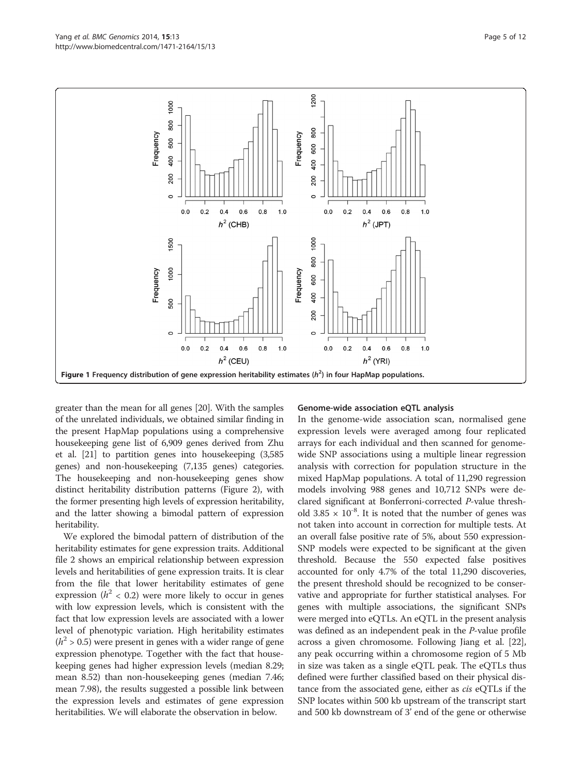<span id="page-5-0"></span>

greater than the mean for all genes [[20](#page-12-0)]. With the samples of the unrelated individuals, we obtained similar finding in the present HapMap populations using a comprehensive housekeeping gene list of 6,909 genes derived from Zhu et al. [[21](#page-12-0)] to partition genes into housekeeping (3,585 genes) and non-housekeeping (7,135 genes) categories. The housekeeping and non-housekeeping genes show distinct heritability distribution patterns (Figure [2](#page-6-0)), with the former presenting high levels of expression heritability, and the latter showing a bimodal pattern of expression heritability.

We explored the bimodal pattern of distribution of the heritability estimates for gene expression traits. Additional file [2](#page-11-0) shows an empirical relationship between expression levels and heritabilities of gene expression traits. It is clear from the file that lower heritability estimates of gene expression ( $h^2$  < 0.2) were more likely to occur in genes with low expression levels, which is consistent with the fact that low expression levels are associated with a lower level of phenotypic variation. High heritability estimates  $(h^2 > 0.5)$  were present in genes with a wider range of gene expression phenotype. Together with the fact that housekeeping genes had higher expression levels (median 8.29; mean 8.52) than non-housekeeping genes (median 7.46; mean 7.98), the results suggested a possible link between the expression levels and estimates of gene expression heritabilities. We will elaborate the observation in below.

#### Genome-wide association eQTL analysis

In the genome-wide association scan, normalised gene expression levels were averaged among four replicated arrays for each individual and then scanned for genomewide SNP associations using a multiple linear regression analysis with correction for population structure in the mixed HapMap populations. A total of 11,290 regression models involving 988 genes and 10,712 SNPs were declared significant at Bonferroni-corrected P-value threshold 3.85  $\times$  10<sup>-8</sup>. It is noted that the number of genes was not taken into account in correction for multiple tests. At an overall false positive rate of 5%, about 550 expression-SNP models were expected to be significant at the given threshold. Because the 550 expected false positives accounted for only 4.7% of the total 11,290 discoveries, the present threshold should be recognized to be conservative and appropriate for further statistical analyses. For genes with multiple associations, the significant SNPs were merged into eQTLs. An eQTL in the present analysis was defined as an independent peak in the P-value profile across a given chromosome. Following Jiang et al. [[22](#page-12-0)], any peak occurring within a chromosome region of 5 Mb in size was taken as a single eQTL peak. The eQTLs thus defined were further classified based on their physical distance from the associated gene, either as cis eQTLs if the SNP locates within 500 kb upstream of the transcript start and 500 kb downstream of 3' end of the gene or otherwise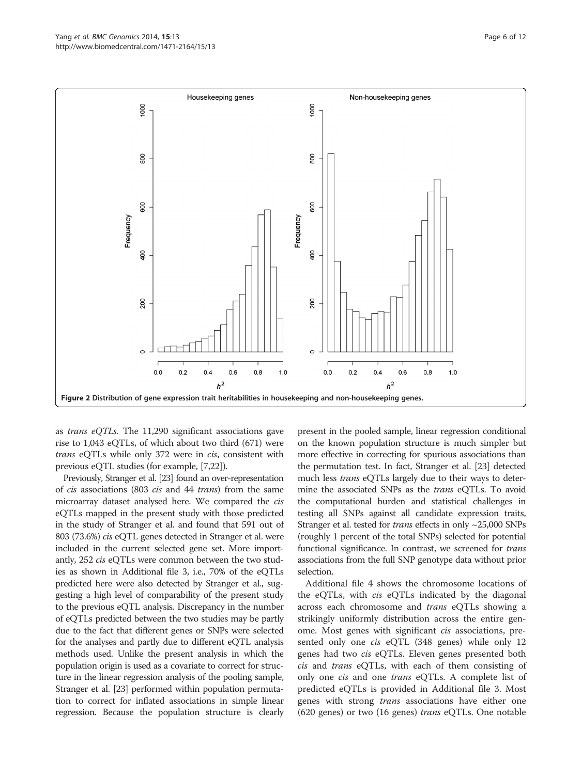<span id="page-6-0"></span>

as trans eQTLs. The 11,290 significant associations gave rise to 1,043 eQTLs, of which about two third (671) were trans eQTLs while only 372 were in cis, consistent with previous eQTL studies (for example, [\[7](#page-11-0)[,22\]](#page-12-0)).

Previously, Stranger et al. [\[23\]](#page-12-0) found an over-representation of cis associations (803 cis and 44 trans) from the same microarray dataset analysed here. We compared the cis eQTLs mapped in the present study with those predicted in the study of Stranger et al. and found that 591 out of 803 (73.6%) cis eQTL genes detected in Stranger et al. were included in the current selected gene set. More importantly, 252 *cis* eQTLs were common between the two studies as shown in Additional file [3](#page-11-0), i.e., 70% of the eQTLs predicted here were also detected by Stranger et al., suggesting a high level of comparability of the present study to the previous eQTL analysis. Discrepancy in the number of eQTLs predicted between the two studies may be partly due to the fact that different genes or SNPs were selected for the analyses and partly due to different eQTL analysis methods used. Unlike the present analysis in which the population origin is used as a covariate to correct for structure in the linear regression analysis of the pooling sample, Stranger et al. [[23](#page-12-0)] performed within population permutation to correct for inflated associations in simple linear regression. Because the population structure is clearly

present in the pooled sample, linear regression conditional on the known population structure is much simpler but more effective in correcting for spurious associations than the permutation test. In fact, Stranger et al. [[23](#page-12-0)] detected much less trans eQTLs largely due to their ways to determine the associated SNPs as the trans eQTLs. To avoid the computational burden and statistical challenges in testing all SNPs against all candidate expression traits, Stranger et al. tested for trans effects in only ~25,000 SNPs (roughly 1 percent of the total SNPs) selected for potential functional significance. In contrast, we screened for trans associations from the full SNP genotype data without prior selection.

Additional file [4](#page-11-0) shows the chromosome locations of the eQTLs, with cis eQTLs indicated by the diagonal across each chromosome and *trans* eQTLs showing a strikingly uniformly distribution across the entire genome. Most genes with significant cis associations, presented only one *cis* eQTL (348 genes) while only 12 genes had two cis eQTLs. Eleven genes presented both cis and trans eQTLs, with each of them consisting of only one cis and one trans eQTLs. A complete list of predicted eQTLs is provided in Additional file [3](#page-11-0). Most genes with strong *trans* associations have either one (620 genes) or two (16 genes) trans eQTLs. One notable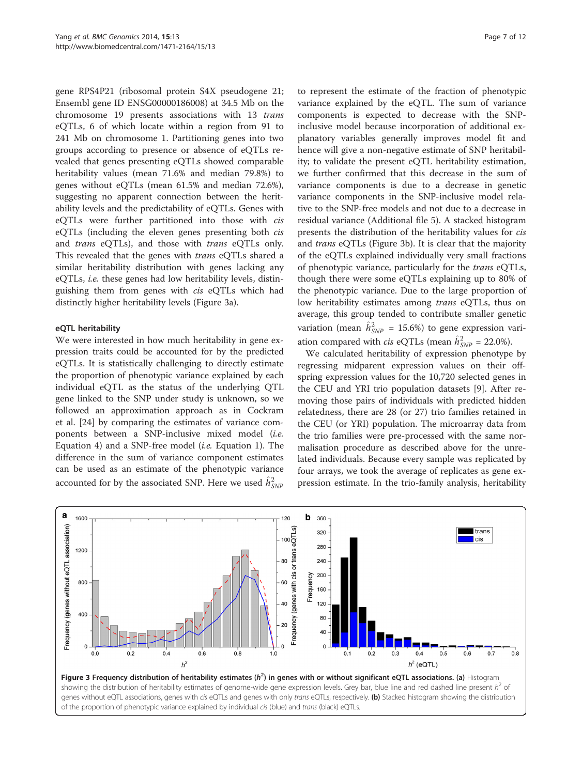gene RPS4P21 (ribosomal protein S4X pseudogene 21; Ensembl gene ID ENSG00000186008) at 34.5 Mb on the chromosome 19 presents associations with 13 trans eQTLs, 6 of which locate within a region from 91 to 241 Mb on chromosome 1. Partitioning genes into two groups according to presence or absence of eQTLs revealed that genes presenting eQTLs showed comparable heritability values (mean 71.6% and median 79.8%) to genes without eQTLs (mean 61.5% and median 72.6%), suggesting no apparent connection between the heritability levels and the predictability of eQTLs. Genes with eQTLs were further partitioned into those with cis eQTLs (including the eleven genes presenting both cis and trans eQTLs), and those with trans eQTLs only. This revealed that the genes with trans eQTLs shared a similar heritability distribution with genes lacking any eQTLs, i.e. these genes had low heritability levels, distinguishing them from genes with cis eQTLs which had distinctly higher heritability levels (Figure 3a).

#### eQTL heritability

We were interested in how much heritability in gene expression traits could be accounted for by the predicted eQTLs. It is statistically challenging to directly estimate the proportion of phenotypic variance explained by each individual eQTL as the status of the underlying QTL gene linked to the SNP under study is unknown, so we followed an approximation approach as in Cockram et al. [[24\]](#page-12-0) by comparing the estimates of variance components between a SNP-inclusive mixed model (i.e. Equation [4\)](#page-4-0) and a SNP-free model (i.e. Equation [1\)](#page-3-0). The difference in the sum of variance component estimates can be used as an estimate of the phenotypic variance accounted for by the associated SNP. Here we used  $\hat{\mathcal{h}}^2_{SNP}$ 

to represent the estimate of the fraction of phenotypic variance explained by the eQTL. The sum of variance components is expected to decrease with the SNPinclusive model because incorporation of additional explanatory variables generally improves model fit and hence will give a non-negative estimate of SNP heritability; to validate the present eQTL heritability estimation, we further confirmed that this decrease in the sum of variance components is due to a decrease in genetic variance components in the SNP-inclusive model relative to the SNP-free models and not due to a decrease in residual variance (Additional file [5](#page-11-0)). A stacked histogram presents the distribution of the heritability values for cis and trans eQTLs (Figure 3b). It is clear that the majority of the eQTLs explained individually very small fractions of phenotypic variance, particularly for the trans eQTLs, though there were some eQTLs explaining up to 80% of the phenotypic variance. Due to the large proportion of low heritability estimates among trans eQTLs, thus on average, this group tended to contribute smaller genetic variation (mean  $\hat{h}^2_{SNP} = 15.6\%$ ) to gene expression variation compared with *cis* eQTLs (mean  $\hat{h}^2_{SNP} = 22.0\%$ ).

We calculated heritability of expression phenotype by regressing midparent expression values on their offspring expression values for the 10,720 selected genes in the CEU and YRI trio population datasets [\[9\]](#page-11-0). After removing those pairs of individuals with predicted hidden relatedness, there are 28 (or 27) trio families retained in the CEU (or YRI) population. The microarray data from the trio families were pre-processed with the same normalisation procedure as described above for the unrelated individuals. Because every sample was replicated by four arrays, we took the average of replicates as gene expression estimate. In the trio-family analysis, heritability

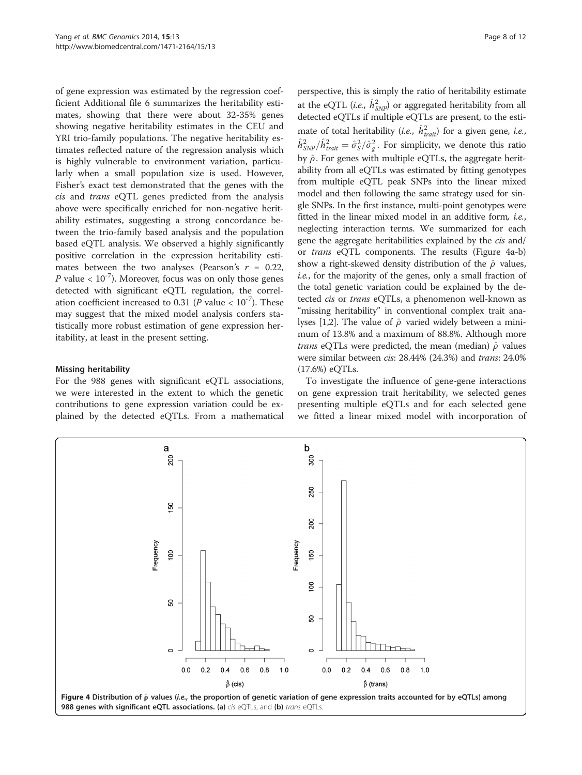of gene expression was estimated by the regression coefficient Additional file [6](#page-11-0) summarizes the heritability estimates, showing that there were about 32-35% genes showing negative heritability estimates in the CEU and YRI trio-family populations. The negative heritability estimates reflected nature of the regression analysis which is highly vulnerable to environment variation, particularly when a small population size is used. However, Fisher's exact test demonstrated that the genes with the cis and trans eQTL genes predicted from the analysis above were specifically enriched for non-negative heritability estimates, suggesting a strong concordance between the trio-family based analysis and the population based eQTL analysis. We observed a highly significantly positive correlation in the expression heritability estimates between the two analyses (Pearson's  $r = 0.22$ , P value  $< 10^{-7}$ ). Moreover, focus was on only those genes detected with significant eQTL regulation, the correlation coefficient increased to 0.31 (P value  $< 10^{-7}$ ). These may suggest that the mixed model analysis confers statistically more robust estimation of gene expression heritability, at least in the present setting.

#### Missing heritability

For the 988 genes with significant eQTL associations, we were interested in the extent to which the genetic contributions to gene expression variation could be explained by the detected eQTLs. From a mathematical

perspective, this is simply the ratio of heritability estimate at the eQTL (*i.e.*,  $\hat{h}^2_{SNP}$ ) or aggregated heritability from all detected eQTLs if multiple eQTLs are present, to the estimate of total heritability (*i.e.*,  $\hat{h}^2_{\text{trait}}$ ) for a given gene, *i.e.*,  $\hat{h}_{SNP}^2/\hat{h}_{\text{train}}^2 = \hat{\sigma}_S^2/\hat{\sigma}_g^2$ . For simplicity, we denote this ratio by  $\hat{\rho}$ . For genes with multiple eQTLs, the aggregate heritability from all eQTLs was estimated by fitting genotypes from multiple eQTL peak SNPs into the linear mixed model and then following the same strategy used for single SNPs. In the first instance, multi-point genotypes were fitted in the linear mixed model in an additive form, *i.e.*, neglecting interaction terms. We summarized for each gene the aggregate heritabilities explained by the cis and/ or trans eQTL components. The results (Figure 4a-b) show a right-skewed density distribution of the  $\hat{\rho}$  values, i.e., for the majority of the genes, only a small fraction of the total genetic variation could be explained by the detected cis or trans eQTLs, a phenomenon well-known as "missing heritability" in conventional complex trait ana-lyses [[1,2](#page-11-0)]. The value of  $\hat{\rho}$  varied widely between a minimum of 13.8% and a maximum of 88.8%. Although more *trans* eQTLs were predicted, the mean (median)  $\hat{\rho}$  values were similar between cis: 28.44% (24.3%) and trans: 24.0% (17.6%) eQTLs.

To investigate the influence of gene-gene interactions on gene expression trait heritability, we selected genes presenting multiple eQTLs and for each selected gene we fitted a linear mixed model with incorporation of

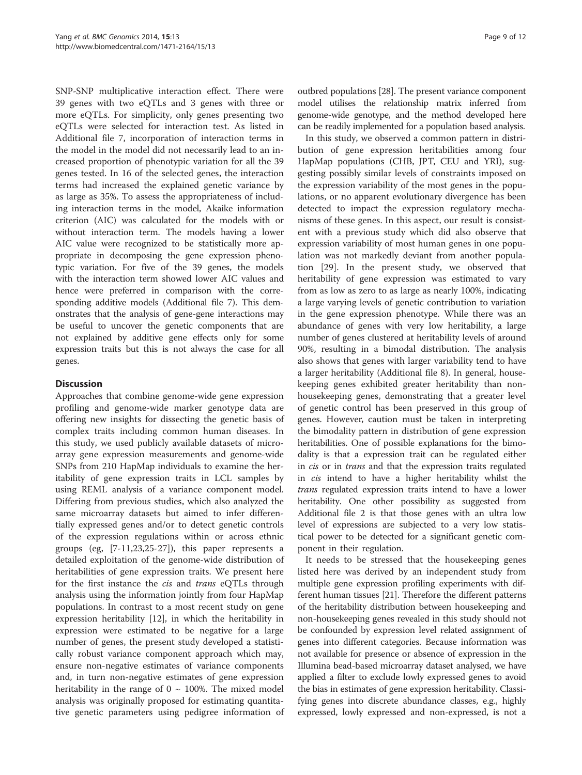SNP-SNP multiplicative interaction effect. There were 39 genes with two eQTLs and 3 genes with three or more eQTLs. For simplicity, only genes presenting two eQTLs were selected for interaction test. As listed in Additional file [7](#page-11-0), incorporation of interaction terms in the model in the model did not necessarily lead to an increased proportion of phenotypic variation for all the 39 genes tested. In 16 of the selected genes, the interaction terms had increased the explained genetic variance by as large as 35%. To assess the appropriateness of including interaction terms in the model, Akaike information criterion (AIC) was calculated for the models with or without interaction term. The models having a lower AIC value were recognized to be statistically more appropriate in decomposing the gene expression phenotypic variation. For five of the 39 genes, the models with the interaction term showed lower AIC values and hence were preferred in comparison with the corresponding additive models (Additional file [7\)](#page-11-0). This demonstrates that the analysis of gene-gene interactions may be useful to uncover the genetic components that are not explained by additive gene effects only for some expression traits but this is not always the case for all genes.

#### **Discussion**

Approaches that combine genome-wide gene expression profiling and genome-wide marker genotype data are offering new insights for dissecting the genetic basis of complex traits including common human diseases. In this study, we used publicly available datasets of microarray gene expression measurements and genome-wide SNPs from 210 HapMap individuals to examine the heritability of gene expression traits in LCL samples by using REML analysis of a variance component model. Differing from previous studies, which also analyzed the same microarray datasets but aimed to infer differentially expressed genes and/or to detect genetic controls of the expression regulations within or across ethnic groups (eg, [[7-11,](#page-11-0)[23,25-27](#page-12-0)]), this paper represents a detailed exploitation of the genome-wide distribution of heritabilities of gene expression traits. We present here for the first instance the cis and trans eQTLs through analysis using the information jointly from four HapMap populations. In contrast to a most recent study on gene expression heritability [[12\]](#page-11-0), in which the heritability in expression were estimated to be negative for a large number of genes, the present study developed a statistically robust variance component approach which may, ensure non-negative estimates of variance components and, in turn non-negative estimates of gene expression heritability in the range of  $0 \sim 100\%$ . The mixed model analysis was originally proposed for estimating quantitative genetic parameters using pedigree information of

outbred populations [\[28](#page-12-0)]. The present variance component model utilises the relationship matrix inferred from genome-wide genotype, and the method developed here can be readily implemented for a population based analysis.

In this study, we observed a common pattern in distribution of gene expression heritabilities among four HapMap populations (CHB, JPT, CEU and YRI), suggesting possibly similar levels of constraints imposed on the expression variability of the most genes in the populations, or no apparent evolutionary divergence has been detected to impact the expression regulatory mechanisms of these genes. In this aspect, our result is consistent with a previous study which did also observe that expression variability of most human genes in one population was not markedly deviant from another population [[29](#page-12-0)]. In the present study, we observed that heritability of gene expression was estimated to vary from as low as zero to as large as nearly 100%, indicating a large varying levels of genetic contribution to variation in the gene expression phenotype. While there was an abundance of genes with very low heritability, a large number of genes clustered at heritability levels of around 90%, resulting in a bimodal distribution. The analysis also shows that genes with larger variability tend to have a larger heritability (Additional file [8\)](#page-11-0). In general, housekeeping genes exhibited greater heritability than nonhousekeeping genes, demonstrating that a greater level of genetic control has been preserved in this group of genes. However, caution must be taken in interpreting the bimodality pattern in distribution of gene expression heritabilities. One of possible explanations for the bimodality is that a expression trait can be regulated either in cis or in trans and that the expression traits regulated in cis intend to have a higher heritability whilst the trans regulated expression traits intend to have a lower heritability. One other possibility as suggested from Additional file [2](#page-11-0) is that those genes with an ultra low level of expressions are subjected to a very low statistical power to be detected for a significant genetic component in their regulation.

It needs to be stressed that the housekeeping genes listed here was derived by an independent study from multiple gene expression profiling experiments with different human tissues [\[21\]](#page-12-0). Therefore the different patterns of the heritability distribution between housekeeping and non-housekeeping genes revealed in this study should not be confounded by expression level related assignment of genes into different categories. Because information was not available for presence or absence of expression in the Illumina bead-based microarray dataset analysed, we have applied a filter to exclude lowly expressed genes to avoid the bias in estimates of gene expression heritability. Classifying genes into discrete abundance classes, e.g., highly expressed, lowly expressed and non-expressed, is not a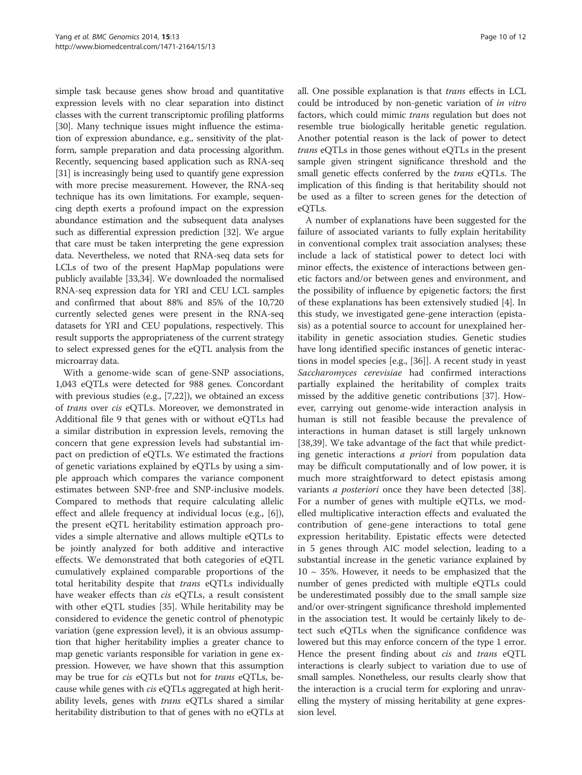simple task because genes show broad and quantitative expression levels with no clear separation into distinct classes with the current transcriptomic profiling platforms [[30](#page-12-0)]. Many technique issues might influence the estimation of expression abundance, e.g., sensitivity of the platform, sample preparation and data processing algorithm. Recently, sequencing based application such as RNA-seq [[31](#page-12-0)] is increasingly being used to quantify gene expression with more precise measurement. However, the RNA-seq technique has its own limitations. For example, sequencing depth exerts a profound impact on the expression abundance estimation and the subsequent data analyses such as differential expression prediction [[32](#page-12-0)]. We argue that care must be taken interpreting the gene expression data. Nevertheless, we noted that RNA-seq data sets for LCLs of two of the present HapMap populations were publicly available [\[33,34\]](#page-12-0). We downloaded the normalised RNA-seq expression data for YRI and CEU LCL samples and confirmed that about 88% and 85% of the 10,720 currently selected genes were present in the RNA-seq datasets for YRI and CEU populations, respectively. This result supports the appropriateness of the current strategy to select expressed genes for the eQTL analysis from the microarray data.

With a genome-wide scan of gene-SNP associations, 1,043 eQTLs were detected for 988 genes. Concordant with previous studies (e.g., [\[7](#page-11-0)[,22](#page-12-0)]), we obtained an excess of trans over cis eQTLs. Moreover, we demonstrated in Additional file [9](#page-11-0) that genes with or without eQTLs had a similar distribution in expression levels, removing the concern that gene expression levels had substantial impact on prediction of eQTLs. We estimated the fractions of genetic variations explained by eQTLs by using a simple approach which compares the variance component estimates between SNP-free and SNP-inclusive models. Compared to methods that require calculating allelic effect and allele frequency at individual locus (e.g., [\[6](#page-11-0)]), the present eQTL heritability estimation approach provides a simple alternative and allows multiple eQTLs to be jointly analyzed for both additive and interactive effects. We demonstrated that both categories of eQTL cumulatively explained comparable proportions of the total heritability despite that trans eQTLs individually have weaker effects than *cis* eQTLs, a result consistent with other eQTL studies [\[35\]](#page-12-0). While heritability may be considered to evidence the genetic control of phenotypic variation (gene expression level), it is an obvious assumption that higher heritability implies a greater chance to map genetic variants responsible for variation in gene expression. However, we have shown that this assumption may be true for *cis* eQTLs but not for *trans* eQTLs, because while genes with cis eQTLs aggregated at high heritability levels, genes with *trans* eQTLs shared a similar heritability distribution to that of genes with no eQTLs at

all. One possible explanation is that trans effects in LCL could be introduced by non-genetic variation of in vitro factors, which could mimic trans regulation but does not resemble true biologically heritable genetic regulation. Another potential reason is the lack of power to detect trans eQTLs in those genes without eQTLs in the present sample given stringent significance threshold and the small genetic effects conferred by the trans eQTLs. The implication of this finding is that heritability should not be used as a filter to screen genes for the detection of eQTLs.

A number of explanations have been suggested for the failure of associated variants to fully explain heritability in conventional complex trait association analyses; these include a lack of statistical power to detect loci with minor effects, the existence of interactions between genetic factors and/or between genes and environment, and the possibility of influence by epigenetic factors; the first of these explanations has been extensively studied [[4\]](#page-11-0). In this study, we investigated gene-gene interaction (epistasis) as a potential source to account for unexplained heritability in genetic association studies. Genetic studies have long identified specific instances of genetic interactions in model species [e.g., [\[36\]](#page-12-0)]. A recent study in yeast Saccharomyces cerevisiae had confirmed interactions partially explained the heritability of complex traits missed by the additive genetic contributions [[37](#page-12-0)]. However, carrying out genome-wide interaction analysis in human is still not feasible because the prevalence of interactions in human dataset is still largely unknown [[38,39\]](#page-12-0). We take advantage of the fact that while predicting genetic interactions a priori from population data may be difficult computationally and of low power, it is much more straightforward to detect epistasis among variants *a posteriori* once they have been detected [\[38](#page-12-0)]. For a number of genes with multiple eQTLs, we modelled multiplicative interaction effects and evaluated the contribution of gene-gene interactions to total gene expression heritability. Epistatic effects were detected in 5 genes through AIC model selection, leading to a substantial increase in the genetic variance explained by  $10 \sim 35\%$ . However, it needs to be emphasized that the number of genes predicted with multiple eQTLs could be underestimated possibly due to the small sample size and/or over-stringent significance threshold implemented in the association test. It would be certainly likely to detect such eQTLs when the significance confidence was lowered but this may enforce concern of the type 1 error. Hence the present finding about *cis* and *trans* eQTL interactions is clearly subject to variation due to use of small samples. Nonetheless, our results clearly show that the interaction is a crucial term for exploring and unravelling the mystery of missing heritability at gene expression level.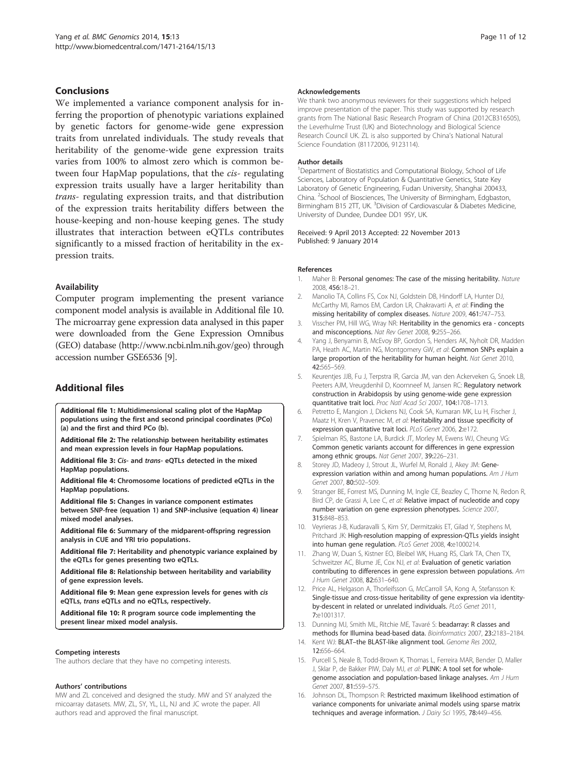#### <span id="page-11-0"></span>Conclusions

We implemented a variance component analysis for inferring the proportion of phenotypic variations explained by genetic factors for genome-wide gene expression traits from unrelated individuals. The study reveals that heritability of the genome-wide gene expression traits varies from 100% to almost zero which is common between four HapMap populations, that the *cis-* regulating expression traits usually have a larger heritability than trans- regulating expression traits, and that distribution of the expression traits heritability differs between the house-keeping and non-house keeping genes. The study illustrates that interaction between eQTLs contributes significantly to a missed fraction of heritability in the expression traits.

#### Availability

Computer program implementing the present variance component model analysis is available in Additional file 10. The microarray gene expression data analysed in this paper were downloaded from the Gene Expression Omnibus (GEO) database [\(http://www.ncbi.nlm.nih.gov/geo](http://www.ncbi.nlm.nih.gov/geo)) through accession number GSE6536 [9].

#### Additional files

[Additional file 1:](http://www.biomedcentral.com/content/supplementary/1471-2164-15-13-S1.doc) Multidimensional scaling plot of the HapMap populations using the first and second principal coordinates (PCo) (a) and the first and third PCo (b).

[Additional file 2:](http://www.biomedcentral.com/content/supplementary/1471-2164-15-13-S2.doc) The relationship between heritability estimates and mean expression levels in four HapMap populations.

[Additional file 3:](http://www.biomedcentral.com/content/supplementary/1471-2164-15-13-S3.xls) Cis- and trans- eQTLs detected in the mixed HapMap populations.

[Additional file 4:](http://www.biomedcentral.com/content/supplementary/1471-2164-15-13-S4.doc) Chromosome locations of predicted eQTLs in the HapMap populations.

[Additional file 5:](http://www.biomedcentral.com/content/supplementary/1471-2164-15-13-S5.doc) Changes in variance component estimates between SNP-free (equation [1](#page-3-0)) and SNP-inclusive (equation [4](#page-4-0)) linear mixed model analyses.

[Additional file 6:](http://www.biomedcentral.com/content/supplementary/1471-2164-15-13-S6.doc) Summary of the midparent-offspring regression analysis in CUE and YRI trio populations.

[Additional file 7:](http://www.biomedcentral.com/content/supplementary/1471-2164-15-13-S7.doc) Heritability and phenotypic variance explained by the eQTLs for genes presenting two eQTLs.

[Additional file 8:](http://www.biomedcentral.com/content/supplementary/1471-2164-15-13-S8.doc) Relationship between heritability and variability of gene expression levels.

[Additional file 9:](http://www.biomedcentral.com/content/supplementary/1471-2164-15-13-S9.doc) Mean gene expression levels for genes with cis eQTLs, trans eQTLs and no eQTLs, respectively.

[Additional file 10:](http://www.biomedcentral.com/content/supplementary/1471-2164-15-13-S10.zip) R program source code implementing the present linear mixed model analysis.

#### Competing interests

The authors declare that they have no competing interests.

#### Authors' contributions

MW and ZL conceived and designed the study. MW and SY analyzed the micoarray datasets. MW, ZL, SY, YL, LL, NJ and JC wrote the paper. All authors read and approved the final manuscript.

#### Acknowledgements

We thank two anonymous reviewers for their suggestions which helped improve presentation of the paper. This study was supported by research grants from The National Basic Research Program of China (2012CB316505), the Leverhulme Trust (UK) and Biotechnology and Biological Science Research Council UK. ZL is also supported by China's National Natural Science Foundation (81172006, 9123114).

#### Author details

<sup>1</sup>Department of Biostatistics and Computational Biology, School of Life Sciences, Laboratory of Population & Quantitative Genetics, State Key Laboratory of Genetic Engineering, Fudan University, Shanghai 200433, China. <sup>2</sup>School of Biosciences, The University of Birmingham, Edgbaston, Birmingham B15 2TT, UK. <sup>3</sup> Division of Cardiovascular & Diabetes Medicine, University of Dundee, Dundee DD1 9SY, UK.

Received: 9 April 2013 Accepted: 22 November 2013 Published: 9 January 2014

#### References

- Maher B: Personal genomes: The case of the missing heritability. Nature 2008, 456:18–21.
- 2. Manolio TA, Collins FS, Cox NJ, Goldstein DB, Hindorff LA, Hunter DJ, McCarthy MI, Ramos EM, Cardon LR, Chakravarti A, et al: Finding the missing heritability of complex diseases. Nature 2009, 461:747–753.
- 3. Visscher PM, Hill WG, Wray NR: Heritability in the genomics era concepts and misconceptions. Nat Rev Genet 2008, 9:255–266.
- 4. Yang J, Benyamin B, McEvoy BP, Gordon S, Henders AK, Nyholt DR, Madden PA, Heath AC, Martin NG, Montgomery GW, et al: Common SNPs explain a large proportion of the heritability for human height. Nat Genet 2010, 42:565–569.
- 5. Keurentjes JJB, Fu J, Terpstra IR, Garcia JM, van den Ackerveken G, Snoek LB, Peeters AJM, Vreugdenhil D, Koornneef M, Jansen RC: Regulatory network construction in Arabidopsis by using genome-wide gene expression quantitative trait loci. Proc Natl Acad Sci 2007, 104:1708–1713.
- 6. Petretto E, Mangion J, Dickens NJ, Cook SA, Kumaran MK, Lu H, Fischer J, Maatz H, Kren V, Pravenec M, et al: Heritability and tissue specificity of expression quantitative trait loci. PLoS Genet 2006, 2:e172.
- 7. Spielman RS, Bastone LA, Burdick JT, Morley M, Ewens WJ, Cheung VG: Common genetic variants account for differences in gene expression among ethnic groups. Nat Genet 2007, 39:226–231.
- 8. Storey JD, Madeoy J, Strout JL, Wurfel M, Ronald J, Akey JM: Geneexpression variation within and among human populations. Am J Hum Genet 2007, 80:502–509.
- 9. Stranger BE, Forrest MS, Dunning M, Ingle CE, Beazley C, Thorne N, Redon R, Bird CP, de Grassi A, Lee C, et al: Relative impact of nucleotide and copy number variation on gene expression phenotypes. Science 2007, 315:848–853.
- 10. Veyrieras J-B, Kudaravalli S, Kim SY, Dermitzakis ET, Gilad Y, Stephens M, Pritchard JK: High-resolution mapping of expression-QTLs yields insight into human gene regulation. PLoS Genet 2008, 4:e1000214.
- 11. Zhang W, Duan S, Kistner EO, Bleibel WK, Huang RS, Clark TA, Chen TX, Schweitzer AC, Blume JE, Cox NJ, et al: Evaluation of genetic variation contributing to differences in gene expression between populations. Am J Hum Genet 2008, 82:631–640.
- 12. Price AL, Helgason A, Thorleifsson G, McCarroll SA, Kong A, Stefansson K: Single-tissue and cross-tissue heritability of gene expression via identityby-descent in related or unrelated individuals. PLoS Genet 2011, 7:e1001317.
- 13. Dunning MJ, Smith ML, Ritchie ME, Tavaré S: beadarray: R classes and methods for Illumina bead-based data. Bioinformatics 2007, 23:2183–2184.
- 14. Kent WJ: BLAT-the BLAST-like alignment tool. Genome Res 2002, 12:656–664.
- 15. Purcell S, Neale B, Todd-Brown K, Thomas L, Ferreira MAR, Bender D, Maller J, Sklar P, de Bakker PIW, Daly MJ, et al: PLINK: A tool set for wholegenome association and population-based linkage analyses. Am J Hum Genet 2007, 81:559–575.
- 16. Johnson DL, Thompson R: Restricted maximum likelihood estimation of variance components for univariate animal models using sparse matrix techniques and average information. J Dairy Sci 1995, 78:449-456.